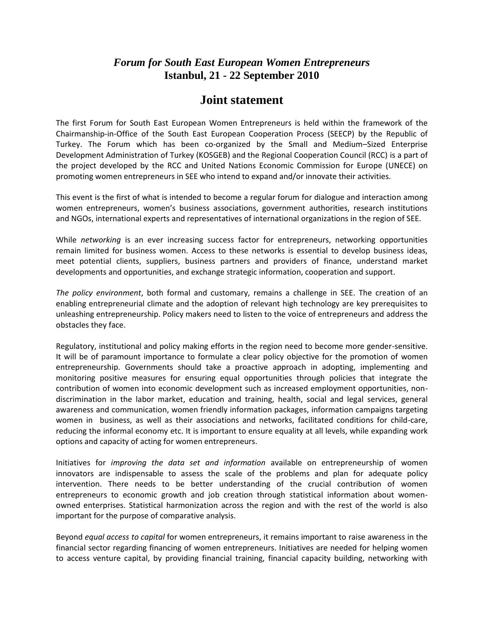## *Forum for South East European Women Entrepreneurs* **Istanbul, 21 - 22 September 2010**

## **Joint statement**

The first Forum for South East European Women Entrepreneurs is held within the framework of the Chairmanship-in-Office of the South East European Cooperation Process (SEECP) by the Republic of Turkey. The Forum which has been co-organized by the Small and Medium–Sized Enterprise Development Administration of Turkey (KOSGEB) and the Regional Cooperation Council (RCC) is a part of the project developed by the RCC and United Nations Economic Commission for Europe (UNECE) on promoting women entrepreneurs in SEE who intend to expand and/or innovate their activities.

This event is the first of what is intended to become a regular forum for dialogue and interaction among women entrepreneurs, women's business associations, government authorities, research institutions and NGOs, international experts and representatives of international organizations in the region of SEE.

While *networking* is an ever increasing success factor for entrepreneurs, networking opportunities remain limited for business women. Access to these networks is essential to develop business ideas, meet potential clients, suppliers, business partners and providers of finance, understand market developments and opportunities, and exchange strategic information, cooperation and support.

*The policy environment*, both formal and customary, remains a challenge in SEE. The creation of an enabling entrepreneurial climate and the adoption of relevant high technology are key prerequisites to unleashing entrepreneurship. Policy makers need to listen to the voice of entrepreneurs and address the obstacles they face.

Regulatory, institutional and policy making efforts in the region need to become more gender-sensitive. It will be of paramount importance to formulate a clear policy objective for the promotion of women entrepreneurship. Governments should take a proactive approach in adopting, implementing and monitoring positive measures for ensuring equal opportunities through policies that integrate the contribution of women into economic development such as increased employment opportunities, nondiscrimination in the labor market, education and training, health, social and legal services, general awareness and communication, women friendly information packages, information campaigns targeting women in business, as well as their associations and networks, facilitated conditions for child-care, reducing the informal economy etc. It is important to ensure equality at all levels, while expanding work options and capacity of acting for women entrepreneurs.

Initiatives for *improving the data set and information* available on entrepreneurship of women innovators are indispensable to assess the scale of the problems and plan for adequate policy intervention. There needs to be better understanding of the crucial contribution of women entrepreneurs to economic growth and job creation through statistical information about womenowned enterprises. Statistical harmonization across the region and with the rest of the world is also important for the purpose of comparative analysis.

Beyond *equal access to capital* for women entrepreneurs, it remains important to raise awareness in the financial sector regarding financing of women entrepreneurs. Initiatives are needed for helping women to access venture capital, by providing financial training, financial capacity building, networking with